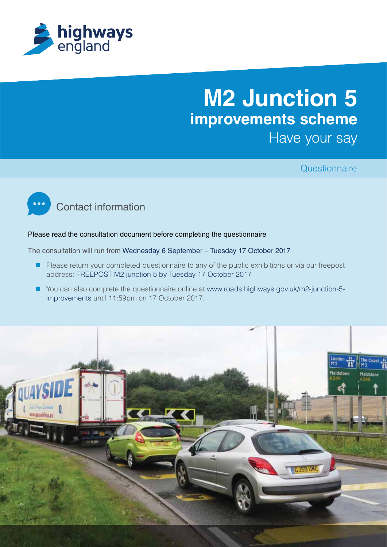

# **M2 Junction 5 improvements scheme** Have your say

**Questionnaire** 



#### Please read the consultation document before completing the questionnaire

The consultation will run from Wednesday 6 September – Tuesday 17 October 2017

- Please return your completed questionnaire to any of the public exhibitions or via our freepost address: FREEPOST M2 junction 5 by Tuesday 17 October 2017
- You can also complete the questionnaire online at www.roads.highways.gov.uk/m2-junction-5improvements until 11:59pm on 17 October 2017.

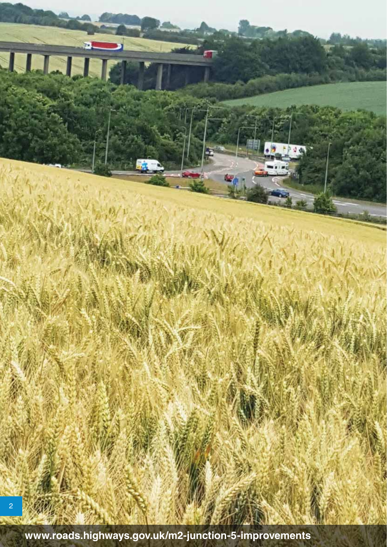**www.roads.highways.gov.uk/m2-junction-5-improvements**

2

JULIT

IMAGE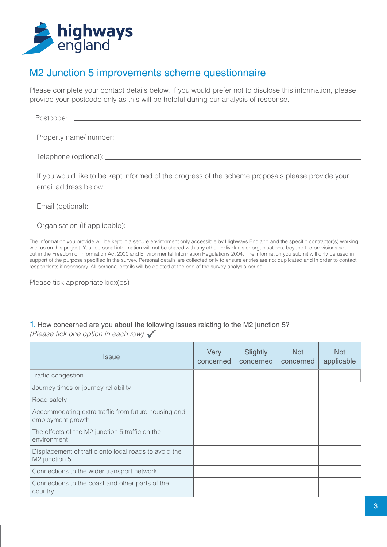

### M2 Junction 5 improvements scheme questionnaire

Please complete your contact details below. If you would prefer not to disclose this information, please provide your postcode only as this will be helpful during our analysis of response.

| If you would like to be kept informed of the progress of the scheme proposals please provide your<br>email address below. |
|---------------------------------------------------------------------------------------------------------------------------|
|                                                                                                                           |
|                                                                                                                           |

The information you provide will be kept in a secure environment only accessible by Highways England and the specific contractor(s) working with us on this project. Your personal information will not be shared with any other individuals or organisations, beyond the provisions set out in the Freedom of Information Act 2000 and Environmental Information Regulations 2004. The information you submit will only be used in support of the purpose specified in the survey. Personal details are collected only to ensure entries are not duplicated and in order to contact respondents if necessary. All personal details will be deleted at the end of the survey analysis period.

Please tick appropriate box(es)

# 1. How concerned are you about the following issues relating to the M2 junction 5?

(Please tick one option in each row)  $\checkmark$ 

| Issue                                                                    | Very<br>concerned | Slightly<br>concerned | <b>Not</b><br>concerned | <b>Not</b><br>applicable |
|--------------------------------------------------------------------------|-------------------|-----------------------|-------------------------|--------------------------|
| Traffic congestion                                                       |                   |                       |                         |                          |
| Journey times or journey reliability                                     |                   |                       |                         |                          |
| Road safety                                                              |                   |                       |                         |                          |
| Accommodating extra traffic from future housing and<br>employment growth |                   |                       |                         |                          |
| The effects of the M2 junction 5 traffic on the<br>environment           |                   |                       |                         |                          |
| Displacement of traffic onto local roads to avoid the<br>M2 junction 5   |                   |                       |                         |                          |
| Connections to the wider transport network                               |                   |                       |                         |                          |
| Connections to the coast and other parts of the<br>country               |                   |                       |                         |                          |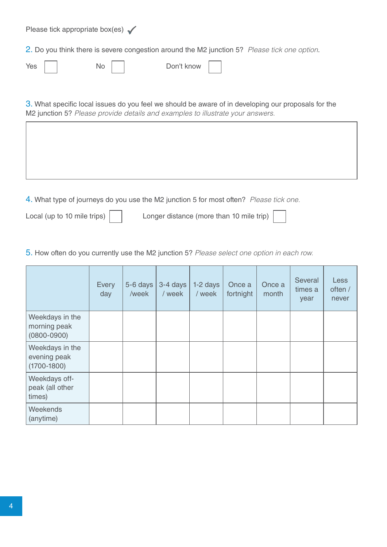Please tick appropriate box(es)  $\checkmark$ 2. Do you think there is severe congestion around the M2 junction 5? Please tick one option. Yes | | No | | Don't know

3. What specific local issues do you feel we should be aware of in developing our proposals for the M2 junction 5? Please provide details and examples to illustrate your answers.

4. What type of journeys do you use the M2 junction 5 for most often? Please tick one.

Local (up to 10 mile trips) | | Longer distance (more than 10 mile trip)

5. How often do you currently use the M2 junction 5? Please select one option in each row.

|                                                    | Every<br>day | 5-6 days<br>/week | 3-4 days<br>/ week | 1-2 days<br>/ week | Once a<br>fortnight | Once a<br>month | Several<br>times a<br>year | <b>Less</b><br>often /<br>never |
|----------------------------------------------------|--------------|-------------------|--------------------|--------------------|---------------------|-----------------|----------------------------|---------------------------------|
| Weekdays in the<br>morning peak<br>$(0800 - 0900)$ |              |                   |                    |                    |                     |                 |                            |                                 |
| Weekdays in the<br>evening peak<br>$(1700 - 1800)$ |              |                   |                    |                    |                     |                 |                            |                                 |
| Weekdays off-<br>peak (all other<br>times)         |              |                   |                    |                    |                     |                 |                            |                                 |
| Weekends<br>(anytime)                              |              |                   |                    |                    |                     |                 |                            |                                 |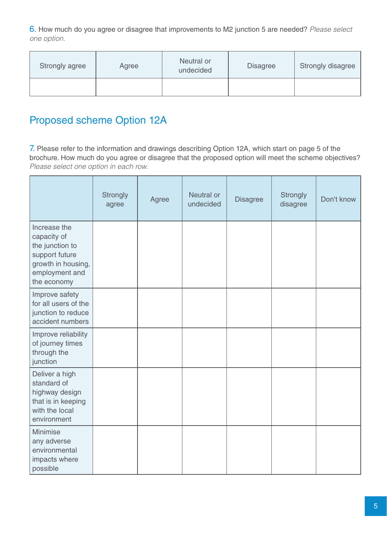6. How much do you agree or disagree that improvements to M2 junction 5 are needed? Please select one option.

| Strongly agree | Agree | Neutral or<br>undecided | <b>Disagree</b> | <b>Strongly disagree</b> |
|----------------|-------|-------------------------|-----------------|--------------------------|
|                |       |                         |                 |                          |

# Proposed scheme Option 12A

7. Please refer to the information and drawings describing Option 12A, which start on page 5 of the brochure. How much do you agree or disagree that the proposed option will meet the scheme objectives? Please select one option in each row.

|                                                                                                                         | Strongly<br>agree | Agree | Neutral or<br>undecided | <b>Disagree</b> | Strongly<br>disagree | Don't know |
|-------------------------------------------------------------------------------------------------------------------------|-------------------|-------|-------------------------|-----------------|----------------------|------------|
| Increase the<br>capacity of<br>the junction to<br>support future<br>growth in housing,<br>employment and<br>the economy |                   |       |                         |                 |                      |            |
| Improve safety<br>for all users of the<br>junction to reduce<br>accident numbers                                        |                   |       |                         |                 |                      |            |
| Improve reliability<br>of journey times<br>through the<br>junction                                                      |                   |       |                         |                 |                      |            |
| Deliver a high<br>standard of<br>highway design<br>that is in keeping<br>with the local<br>environment                  |                   |       |                         |                 |                      |            |
| Minimise<br>any adverse<br>environmental<br>impacts where<br>possible                                                   |                   |       |                         |                 |                      |            |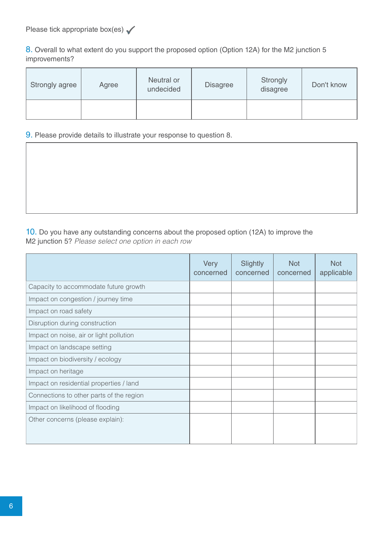8. Overall to what extent do you support the proposed option (Option 12A) for the M2 junction 5 improvements?

| Strongly agree | Agree | Neutral or<br>undecided | <b>Disagree</b> | Strongly<br>disagree | Don't know |
|----------------|-------|-------------------------|-----------------|----------------------|------------|
|                |       |                         |                 |                      |            |

#### 9. Please provide details to illustrate your response to question 8.

10. Do you have any outstanding concerns about the proposed option (12A) to improve the M2 junction 5? Please select one option in each row

|                                          | Very<br>concerned | Slightly<br>concerned | <b>Not</b><br>concerned | <b>Not</b><br>applicable |
|------------------------------------------|-------------------|-----------------------|-------------------------|--------------------------|
| Capacity to accommodate future growth    |                   |                       |                         |                          |
| Impact on congestion / journey time      |                   |                       |                         |                          |
| Impact on road safety                    |                   |                       |                         |                          |
| Disruption during construction           |                   |                       |                         |                          |
| Impact on noise, air or light pollution  |                   |                       |                         |                          |
| Impact on landscape setting              |                   |                       |                         |                          |
| Impact on biodiversity / ecology         |                   |                       |                         |                          |
| Impact on heritage                       |                   |                       |                         |                          |
| Impact on residential properties / land  |                   |                       |                         |                          |
| Connections to other parts of the region |                   |                       |                         |                          |
| Impact on likelihood of flooding         |                   |                       |                         |                          |
| Other concerns (please explain):         |                   |                       |                         |                          |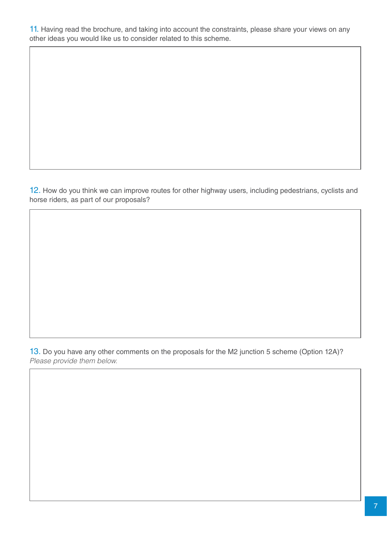11. Having read the brochure, and taking into account the constraints, please share your views on any other ideas you would like us to consider related to this scheme.

12. How do you think we can improve routes for other highway users, including pedestrians, cyclists and horse riders, as part of our proposals?

13. Do you have any other comments on the proposals for the M2 junction 5 scheme (Option 12A)? Please provide them below.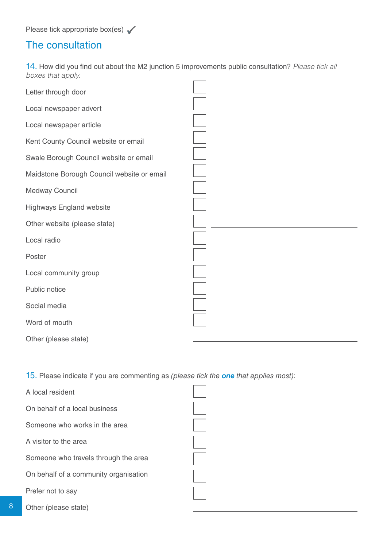Please tick appropriate box(es)  $\checkmark$ 

## The consultation

14. How did you find out about the M2 junction 5 improvements public consultation? Please tick all boxes that apply.  $\overline{a}$  $\overline{\phantom{0}}$ 

| Letter through door                        |  |
|--------------------------------------------|--|
| Local newspaper advert                     |  |
| Local newspaper article                    |  |
| Kent County Council website or email       |  |
| Swale Borough Council website or email     |  |
| Maidstone Borough Council website or email |  |
| Medway Council                             |  |
| <b>Highways England website</b>            |  |
| Other website (please state)               |  |
| Local radio                                |  |
| Poster                                     |  |
| Local community group                      |  |
| Public notice                              |  |
| Social media                               |  |
| Word of mouth                              |  |
| Other (please state)                       |  |

15. Please indicate if you are commenting as (please tick the *one* that applies most):

| A local resident                      |  |
|---------------------------------------|--|
| On behalf of a local business         |  |
| Someone who works in the area         |  |
| A visitor to the area                 |  |
| Someone who travels through the area  |  |
| On behalf of a community organisation |  |
| Prefer not to say                     |  |
| Other (please state)                  |  |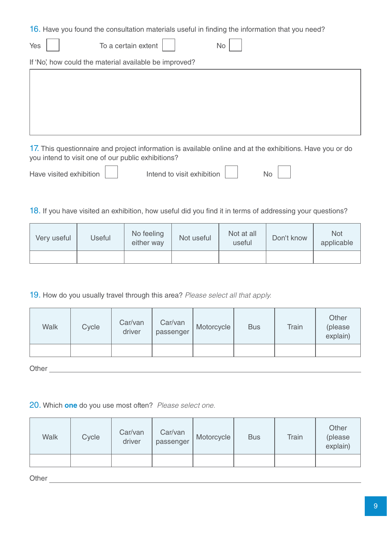16. Have you found the consultation materials useful in finding the information that you need?

| Yes | To a certain extent                                    | No. |  |
|-----|--------------------------------------------------------|-----|--|
|     | If 'No', how could the material available be improved? |     |  |
|     |                                                        |     |  |
|     |                                                        |     |  |
|     |                                                        |     |  |
|     |                                                        |     |  |
|     |                                                        |     |  |

17. This questionnaire and project information is available online and at the exhibitions. Have you or do you intend to visit one of our public exhibitions?

| Have visited exhibition |  | Intend to visit exhibition |  | N <sub>O</sub> |
|-------------------------|--|----------------------------|--|----------------|
|-------------------------|--|----------------------------|--|----------------|

|  | end to visit exhibition. |  |
|--|--------------------------|--|

18. If you have visited an exhibition, how useful did you find it in terms of addressing your questions?

| Very useful | Useful | No feeling<br>either way |  | Not at all<br>useful | Don't know | Not<br>applicable |
|-------------|--------|--------------------------|--|----------------------|------------|-------------------|
|             |        |                          |  |                      |            |                   |

19. How do you usually travel through this area? Please select all that apply.

| <b>Walk</b> | Cycle | Car/van<br>driver | Car/van<br>passenger | Motorcycle | <b>Bus</b> | <b>Train</b> | Other<br>(please<br>explain) |
|-------------|-------|-------------------|----------------------|------------|------------|--------------|------------------------------|
|             |       |                   |                      |            |            |              |                              |

Other **Community** Community Community Community Community Community Community Community Community Community Community Community Community Community Community Community Community Community Community Community Community Comm

#### 20. Which **one** do you use most often? Please select one.

| <b>Walk</b> | Cycle | Car/van<br>driver | Car/van<br>passenger | Motorcycle | <b>Bus</b> | Train | Other<br>(please<br>explain) |
|-------------|-------|-------------------|----------------------|------------|------------|-------|------------------------------|
|             |       |                   |                      |            |            |       |                              |

Other Charles Charles Charles Charles Charles Charles Charles Charles Charles Charles Charles Charles Charles Charles Charles Charles Charles Charles Charles Charles Charles Charles Charles Charles Charles Charles Charles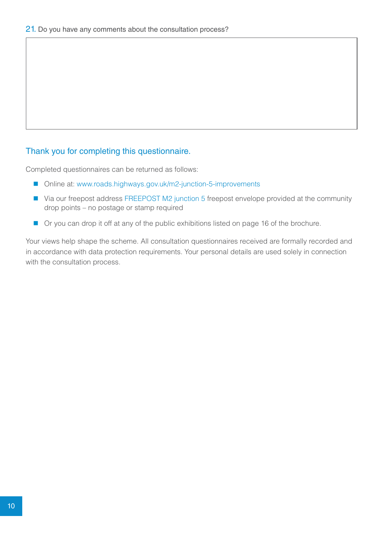#### Thank you for completing this questionnaire.

Completed questionnaires can be returned as follows:

- Online at: www.roads.highways.gov.uk/m2-junction-5-improvements
- Via our freepost address FREEPOST M2 junction 5 freepost envelope provided at the community drop points – no postage or stamp required
- Or you can drop it off at any of the public exhibitions listed on page 16 of the brochure.

Your views help shape the scheme. All consultation questionnaires received are formally recorded and in accordance with data protection requirements. Your personal details are used solely in connection with the consultation process.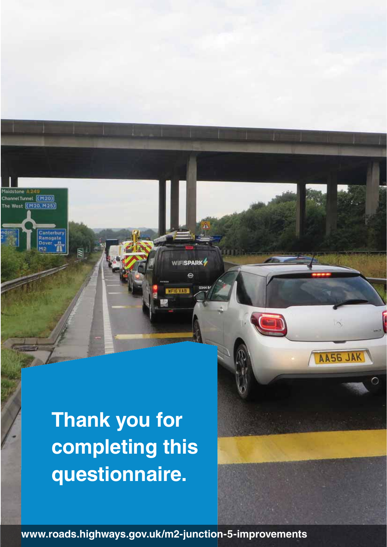Channel Tunnel [(M20)]<br>The West [(M20, M25)]

anterbury amsgate

 $\overline{\mathbb{R}}$ 

# **Thank you for completing this questionnaire.**

**www.roads.highways.gov.uk/m2-junction-5-improvements**

WIFISPARK<sup>4</sup> ė

AA56 JAK

**BYTH**